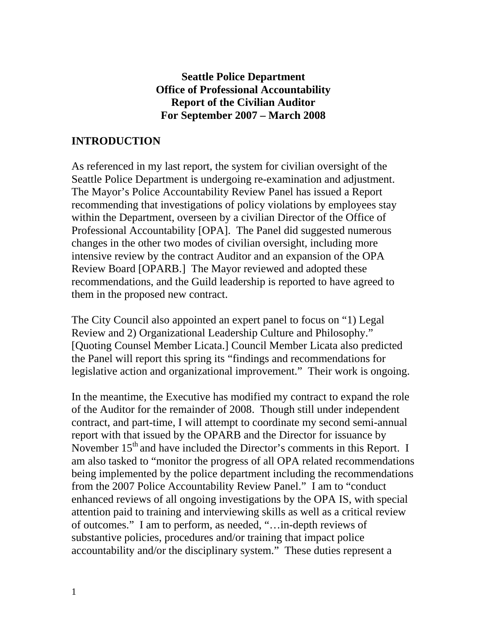#### **Seattle Police Department Office of Professional Accountability Report of the Civilian Auditor For September 2007 – March 2008**

#### **INTRODUCTION**

As referenced in my last report, the system for civilian oversight of the Seattle Police Department is undergoing re-examination and adjustment. The Mayor's Police Accountability Review Panel has issued a Report recommending that investigations of policy violations by employees stay within the Department, overseen by a civilian Director of the Office of Professional Accountability [OPA]. The Panel did suggested numerous changes in the other two modes of civilian oversight, including more intensive review by the contract Auditor and an expansion of the OPA Review Board [OPARB.] The Mayor reviewed and adopted these recommendations, and the Guild leadership is reported to have agreed to them in the proposed new contract.

The City Council also appointed an expert panel to focus on "1) Legal Review and 2) Organizational Leadership Culture and Philosophy." [Quoting Counsel Member Licata.] Council Member Licata also predicted the Panel will report this spring its "findings and recommendations for legislative action and organizational improvement." Their work is ongoing.

In the meantime, the Executive has modified my contract to expand the role of the Auditor for the remainder of 2008. Though still under independent contract, and part-time, I will attempt to coordinate my second semi-annual report with that issued by the OPARB and the Director for issuance by November 15<sup>th</sup> and have included the Director's comments in this Report. I am also tasked to "monitor the progress of all OPA related recommendations being implemented by the police department including the recommendations from the 2007 Police Accountability Review Panel." I am to "conduct enhanced reviews of all ongoing investigations by the OPA IS, with special attention paid to training and interviewing skills as well as a critical review of outcomes." I am to perform, as needed, "…in-depth reviews of substantive policies, procedures and/or training that impact police accountability and/or the disciplinary system." These duties represent a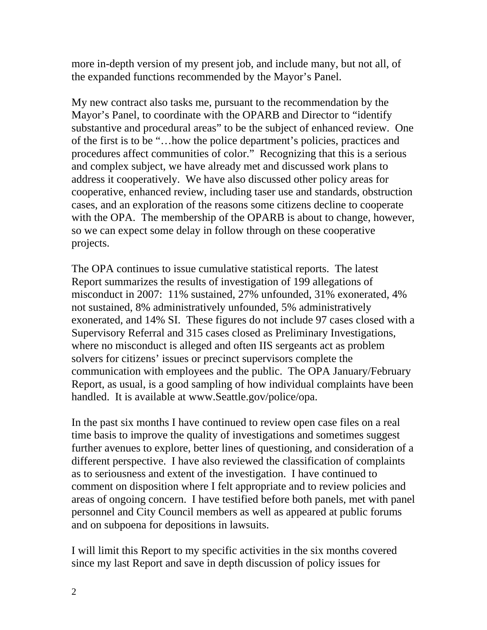more in-depth version of my present job, and include many, but not all, of the expanded functions recommended by the Mayor's Panel.

My new contract also tasks me, pursuant to the recommendation by the Mayor's Panel, to coordinate with the OPARB and Director to "identify substantive and procedural areas" to be the subject of enhanced review. One of the first is to be "…how the police department's policies, practices and procedures affect communities of color." Recognizing that this is a serious and complex subject, we have already met and discussed work plans to address it cooperatively. We have also discussed other policy areas for cooperative, enhanced review, including taser use and standards, obstruction cases, and an exploration of the reasons some citizens decline to cooperate with the OPA. The membership of the OPARB is about to change, however, so we can expect some delay in follow through on these cooperative projects.

The OPA continues to issue cumulative statistical reports. The latest Report summarizes the results of investigation of 199 allegations of misconduct in 2007: 11% sustained, 27% unfounded, 31% exonerated, 4% not sustained, 8% administratively unfounded, 5% administratively exonerated, and 14% SI. These figures do not include 97 cases closed with a Supervisory Referral and 315 cases closed as Preliminary Investigations, where no misconduct is alleged and often IIS sergeants act as problem solvers for citizens' issues or precinct supervisors complete the communication with employees and the public. The OPA January/February Report, as usual, is a good sampling of how individual complaints have been handled. It is available at www.Seattle.gov/police/opa.

In the past six months I have continued to review open case files on a real time basis to improve the quality of investigations and sometimes suggest further avenues to explore, better lines of questioning, and consideration of a different perspective. I have also reviewed the classification of complaints as to seriousness and extent of the investigation. I have continued to comment on disposition where I felt appropriate and to review policies and areas of ongoing concern. I have testified before both panels, met with panel personnel and City Council members as well as appeared at public forums and on subpoena for depositions in lawsuits.

I will limit this Report to my specific activities in the six months covered since my last Report and save in depth discussion of policy issues for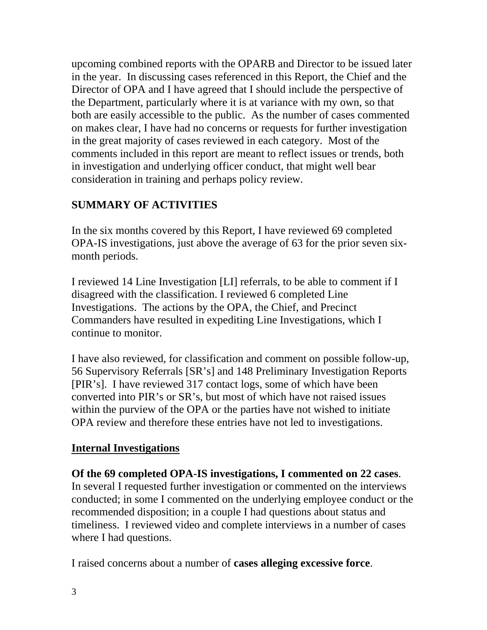upcoming combined reports with the OPARB and Director to be issued later in the year. In discussing cases referenced in this Report, the Chief and the Director of OPA and I have agreed that I should include the perspective of the Department, particularly where it is at variance with my own, so that both are easily accessible to the public. As the number of cases commented on makes clear, I have had no concerns or requests for further investigation in the great majority of cases reviewed in each category. Most of the comments included in this report are meant to reflect issues or trends, both in investigation and underlying officer conduct, that might well bear consideration in training and perhaps policy review.

# **SUMMARY OF ACTIVITIES**

In the six months covered by this Report, I have reviewed 69 completed OPA-IS investigations, just above the average of 63 for the prior seven sixmonth periods.

I reviewed 14 Line Investigation [LI] referrals, to be able to comment if I disagreed with the classification. I reviewed 6 completed Line Investigations. The actions by the OPA, the Chief, and Precinct Commanders have resulted in expediting Line Investigations, which I continue to monitor.

I have also reviewed, for classification and comment on possible follow-up, 56 Supervisory Referrals [SR's] and 148 Preliminary Investigation Reports [PIR's]. I have reviewed 317 contact logs, some of which have been converted into PIR's or SR's, but most of which have not raised issues within the purview of the OPA or the parties have not wished to initiate OPA review and therefore these entries have not led to investigations.

## **Internal Investigations**

**Of the 69 completed OPA-IS investigations, I commented on 22 cases**. In several I requested further investigation or commented on the interviews conducted; in some I commented on the underlying employee conduct or the recommended disposition; in a couple I had questions about status and timeliness. I reviewed video and complete interviews in a number of cases where I had questions.

I raised concerns about a number of **cases alleging excessive force**.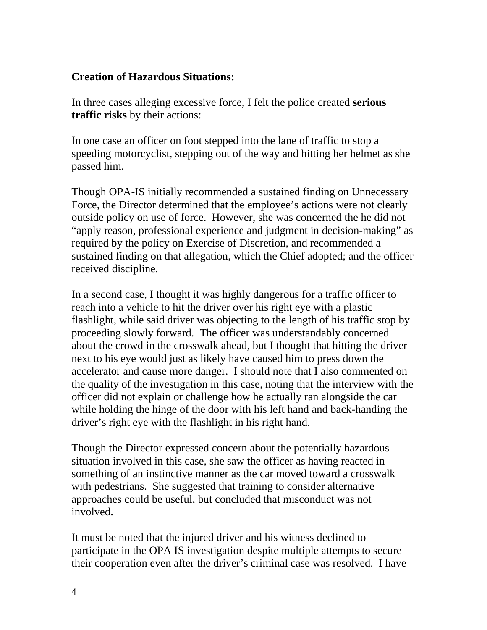#### **Creation of Hazardous Situations:**

In three cases alleging excessive force, I felt the police created **serious traffic risks** by their actions:

In one case an officer on foot stepped into the lane of traffic to stop a speeding motorcyclist, stepping out of the way and hitting her helmet as she passed him.

Though OPA-IS initially recommended a sustained finding on Unnecessary Force, the Director determined that the employee's actions were not clearly outside policy on use of force. However, she was concerned the he did not "apply reason, professional experience and judgment in decision-making" as required by the policy on Exercise of Discretion, and recommended a sustained finding on that allegation, which the Chief adopted; and the officer received discipline.

In a second case, I thought it was highly dangerous for a traffic officer to reach into a vehicle to hit the driver over his right eye with a plastic flashlight, while said driver was objecting to the length of his traffic stop by proceeding slowly forward. The officer was understandably concerned about the crowd in the crosswalk ahead, but I thought that hitting the driver next to his eye would just as likely have caused him to press down the accelerator and cause more danger. I should note that I also commented on the quality of the investigation in this case, noting that the interview with the officer did not explain or challenge how he actually ran alongside the car while holding the hinge of the door with his left hand and back-handing the driver's right eye with the flashlight in his right hand.

Though the Director expressed concern about the potentially hazardous situation involved in this case, she saw the officer as having reacted in something of an instinctive manner as the car moved toward a crosswalk with pedestrians. She suggested that training to consider alternative approaches could be useful, but concluded that misconduct was not involved.

It must be noted that the injured driver and his witness declined to participate in the OPA IS investigation despite multiple attempts to secure their cooperation even after the driver's criminal case was resolved. I have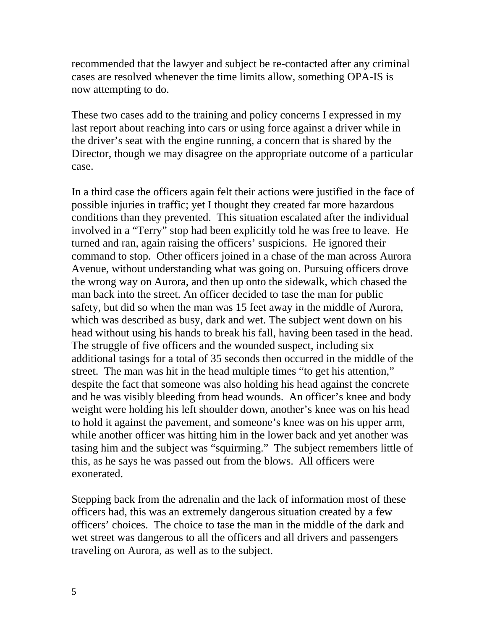recommended that the lawyer and subject be re-contacted after any criminal cases are resolved whenever the time limits allow, something OPA-IS is now attempting to do.

These two cases add to the training and policy concerns I expressed in my last report about reaching into cars or using force against a driver while in the driver's seat with the engine running, a concern that is shared by the Director, though we may disagree on the appropriate outcome of a particular case.

In a third case the officers again felt their actions were justified in the face of possible injuries in traffic; yet I thought they created far more hazardous conditions than they prevented. This situation escalated after the individual involved in a "Terry" stop had been explicitly told he was free to leave. He turned and ran, again raising the officers' suspicions. He ignored their command to stop. Other officers joined in a chase of the man across Aurora Avenue, without understanding what was going on. Pursuing officers drove the wrong way on Aurora, and then up onto the sidewalk, which chased the man back into the street. An officer decided to tase the man for public safety, but did so when the man was 15 feet away in the middle of Aurora, which was described as busy, dark and wet. The subject went down on his head without using his hands to break his fall, having been tased in the head. The struggle of five officers and the wounded suspect, including six additional tasings for a total of 35 seconds then occurred in the middle of the street. The man was hit in the head multiple times "to get his attention," despite the fact that someone was also holding his head against the concrete and he was visibly bleeding from head wounds. An officer's knee and body weight were holding his left shoulder down, another's knee was on his head to hold it against the pavement, and someone's knee was on his upper arm, while another officer was hitting him in the lower back and yet another was tasing him and the subject was "squirming." The subject remembers little of this, as he says he was passed out from the blows. All officers were exonerated.

Stepping back from the adrenalin and the lack of information most of these officers had, this was an extremely dangerous situation created by a few officers' choices. The choice to tase the man in the middle of the dark and wet street was dangerous to all the officers and all drivers and passengers traveling on Aurora, as well as to the subject.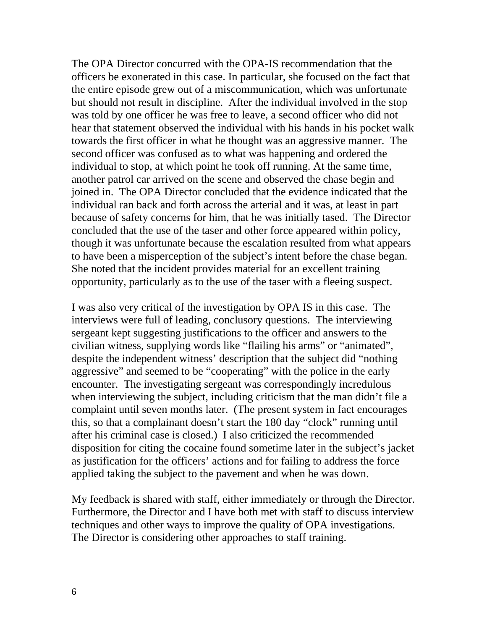The OPA Director concurred with the OPA-IS recommendation that the officers be exonerated in this case. In particular, she focused on the fact that the entire episode grew out of a miscommunication, which was unfortunate but should not result in discipline. After the individual involved in the stop was told by one officer he was free to leave, a second officer who did not hear that statement observed the individual with his hands in his pocket walk towards the first officer in what he thought was an aggressive manner. The second officer was confused as to what was happening and ordered the individual to stop, at which point he took off running. At the same time, another patrol car arrived on the scene and observed the chase begin and joined in. The OPA Director concluded that the evidence indicated that the individual ran back and forth across the arterial and it was, at least in part because of safety concerns for him, that he was initially tased. The Director concluded that the use of the taser and other force appeared within policy, though it was unfortunate because the escalation resulted from what appears to have been a misperception of the subject's intent before the chase began. She noted that the incident provides material for an excellent training opportunity, particularly as to the use of the taser with a fleeing suspect.

I was also very critical of the investigation by OPA IS in this case. The interviews were full of leading, conclusory questions. The interviewing sergeant kept suggesting justifications to the officer and answers to the civilian witness, supplying words like "flailing his arms" or "animated", despite the independent witness' description that the subject did "nothing aggressive" and seemed to be "cooperating" with the police in the early encounter. The investigating sergeant was correspondingly incredulous when interviewing the subject, including criticism that the man didn't file a complaint until seven months later. (The present system in fact encourages this, so that a complainant doesn't start the 180 day "clock" running until after his criminal case is closed.) I also criticized the recommended disposition for citing the cocaine found sometime later in the subject's jacket as justification for the officers' actions and for failing to address the force applied taking the subject to the pavement and when he was down.

My feedback is shared with staff, either immediately or through the Director. Furthermore, the Director and I have both met with staff to discuss interview techniques and other ways to improve the quality of OPA investigations. The Director is considering other approaches to staff training.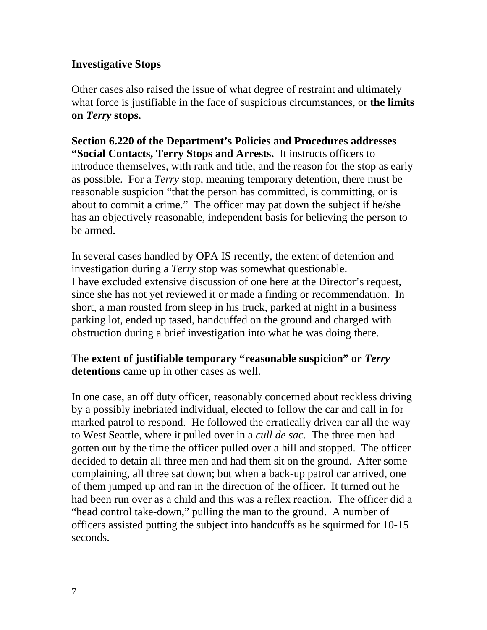#### **Investigative Stops**

Other cases also raised the issue of what degree of restraint and ultimately what force is justifiable in the face of suspicious circumstances, or **the limits on** *Terry* **stops.** 

**Section 6.220 of the Department's Policies and Procedures addresses "Social Contacts, Terry Stops and Arrests.** It instructs officers to introduce themselves, with rank and title, and the reason for the stop as early as possible. For a *Terry* stop, meaning temporary detention, there must be reasonable suspicion "that the person has committed, is committing, or is about to commit a crime." The officer may pat down the subject if he/she has an objectively reasonable, independent basis for believing the person to be armed.

In several cases handled by OPA IS recently, the extent of detention and investigation during a *Terry* stop was somewhat questionable. I have excluded extensive discussion of one here at the Director's request, since she has not yet reviewed it or made a finding or recommendation. In short, a man rousted from sleep in his truck, parked at night in a business parking lot, ended up tased, handcuffed on the ground and charged with obstruction during a brief investigation into what he was doing there.

The **extent of justifiable temporary "reasonable suspicion" or** *Terry*  **detentions** came up in other cases as well.

In one case, an off duty officer, reasonably concerned about reckless driving by a possibly inebriated individual, elected to follow the car and call in for marked patrol to respond. He followed the erratically driven car all the way to West Seattle, where it pulled over in a *cull de sac.* The three men had gotten out by the time the officer pulled over a hill and stopped. The officer decided to detain all three men and had them sit on the ground. After some complaining, all three sat down; but when a back-up patrol car arrived, one of them jumped up and ran in the direction of the officer. It turned out he had been run over as a child and this was a reflex reaction. The officer did a "head control take-down," pulling the man to the ground. A number of officers assisted putting the subject into handcuffs as he squirmed for 10-15 seconds.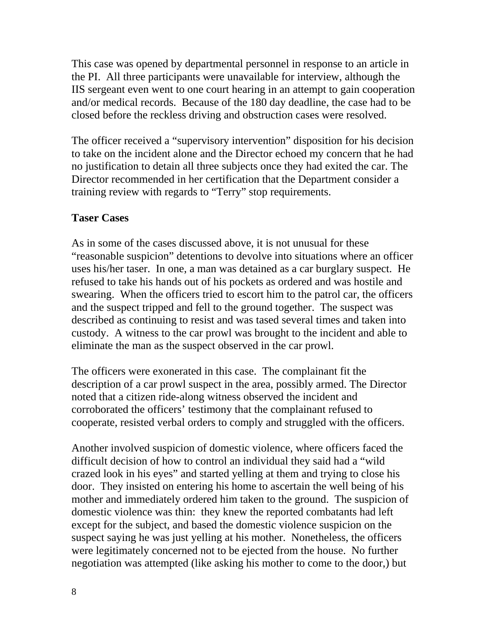This case was opened by departmental personnel in response to an article in the PI. All three participants were unavailable for interview, although the IIS sergeant even went to one court hearing in an attempt to gain cooperation and/or medical records. Because of the 180 day deadline, the case had to be closed before the reckless driving and obstruction cases were resolved.

The officer received a "supervisory intervention" disposition for his decision to take on the incident alone and the Director echoed my concern that he had no justification to detain all three subjects once they had exited the car. The Director recommended in her certification that the Department consider a training review with regards to "Terry" stop requirements.

#### **Taser Cases**

As in some of the cases discussed above, it is not unusual for these "reasonable suspicion" detentions to devolve into situations where an officer uses his/her taser. In one, a man was detained as a car burglary suspect. He refused to take his hands out of his pockets as ordered and was hostile and swearing. When the officers tried to escort him to the patrol car, the officers and the suspect tripped and fell to the ground together. The suspect was described as continuing to resist and was tased several times and taken into custody. A witness to the car prowl was brought to the incident and able to eliminate the man as the suspect observed in the car prowl.

The officers were exonerated in this case. The complainant fit the description of a car prowl suspect in the area, possibly armed. The Director noted that a citizen ride-along witness observed the incident and corroborated the officers' testimony that the complainant refused to cooperate, resisted verbal orders to comply and struggled with the officers.

Another involved suspicion of domestic violence, where officers faced the difficult decision of how to control an individual they said had a "wild crazed look in his eyes" and started yelling at them and trying to close his door. They insisted on entering his home to ascertain the well being of his mother and immediately ordered him taken to the ground. The suspicion of domestic violence was thin: they knew the reported combatants had left except for the subject, and based the domestic violence suspicion on the suspect saying he was just yelling at his mother. Nonetheless, the officers were legitimately concerned not to be ejected from the house. No further negotiation was attempted (like asking his mother to come to the door,) but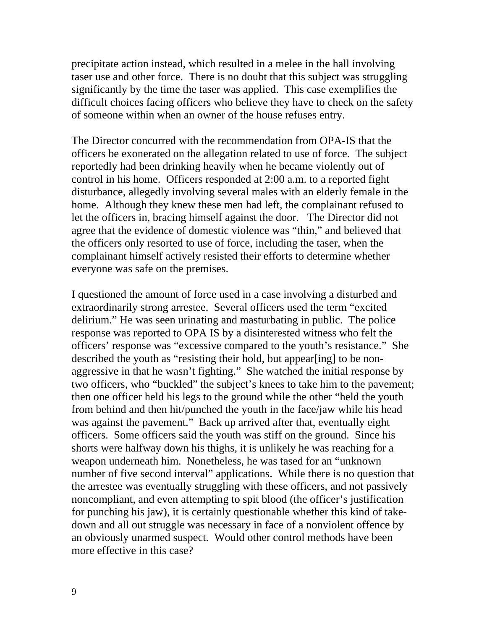precipitate action instead, which resulted in a melee in the hall involving taser use and other force. There is no doubt that this subject was struggling significantly by the time the taser was applied. This case exemplifies the difficult choices facing officers who believe they have to check on the safety of someone within when an owner of the house refuses entry.

The Director concurred with the recommendation from OPA-IS that the officers be exonerated on the allegation related to use of force. The subject reportedly had been drinking heavily when he became violently out of control in his home. Officers responded at 2:00 a.m. to a reported fight disturbance, allegedly involving several males with an elderly female in the home. Although they knew these men had left, the complainant refused to let the officers in, bracing himself against the door. The Director did not agree that the evidence of domestic violence was "thin," and believed that the officers only resorted to use of force, including the taser, when the complainant himself actively resisted their efforts to determine whether everyone was safe on the premises.

I questioned the amount of force used in a case involving a disturbed and extraordinarily strong arrestee. Several officers used the term "excited delirium." He was seen urinating and masturbating in public. The police response was reported to OPA IS by a disinterested witness who felt the officers' response was "excessive compared to the youth's resistance." She described the youth as "resisting their hold, but appear[ing] to be nonaggressive in that he wasn't fighting." She watched the initial response by two officers, who "buckled" the subject's knees to take him to the pavement; then one officer held his legs to the ground while the other "held the youth from behind and then hit/punched the youth in the face/jaw while his head was against the pavement." Back up arrived after that, eventually eight officers. Some officers said the youth was stiff on the ground. Since his shorts were halfway down his thighs, it is unlikely he was reaching for a weapon underneath him. Nonetheless, he was tased for an "unknown number of five second interval" applications. While there is no question that the arrestee was eventually struggling with these officers, and not passively noncompliant, and even attempting to spit blood (the officer's justification for punching his jaw), it is certainly questionable whether this kind of takedown and all out struggle was necessary in face of a nonviolent offence by an obviously unarmed suspect. Would other control methods have been more effective in this case?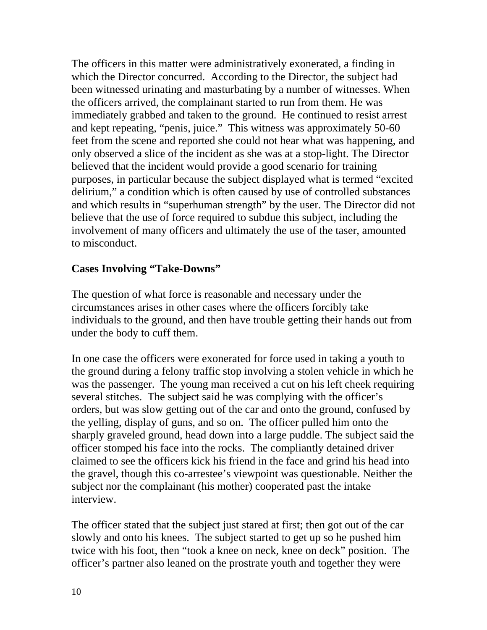The officers in this matter were administratively exonerated, a finding in which the Director concurred. According to the Director, the subject had been witnessed urinating and masturbating by a number of witnesses. When the officers arrived, the complainant started to run from them. He was immediately grabbed and taken to the ground. He continued to resist arrest and kept repeating, "penis, juice." This witness was approximately 50-60 feet from the scene and reported she could not hear what was happening, and only observed a slice of the incident as she was at a stop-light. The Director believed that the incident would provide a good scenario for training purposes, in particular because the subject displayed what is termed "excited delirium," a condition which is often caused by use of controlled substances and which results in "superhuman strength" by the user. The Director did not believe that the use of force required to subdue this subject, including the involvement of many officers and ultimately the use of the taser, amounted to misconduct.

#### **Cases Involving "Take-Downs"**

The question of what force is reasonable and necessary under the circumstances arises in other cases where the officers forcibly take individuals to the ground, and then have trouble getting their hands out from under the body to cuff them.

In one case the officers were exonerated for force used in taking a youth to the ground during a felony traffic stop involving a stolen vehicle in which he was the passenger. The young man received a cut on his left cheek requiring several stitches. The subject said he was complying with the officer's orders, but was slow getting out of the car and onto the ground, confused by the yelling, display of guns, and so on. The officer pulled him onto the sharply graveled ground, head down into a large puddle. The subject said the officer stomped his face into the rocks. The compliantly detained driver claimed to see the officers kick his friend in the face and grind his head into the gravel, though this co-arrestee's viewpoint was questionable. Neither the subject nor the complainant (his mother) cooperated past the intake interview.

The officer stated that the subject just stared at first; then got out of the car slowly and onto his knees. The subject started to get up so he pushed him twice with his foot, then "took a knee on neck, knee on deck" position. The officer's partner also leaned on the prostrate youth and together they were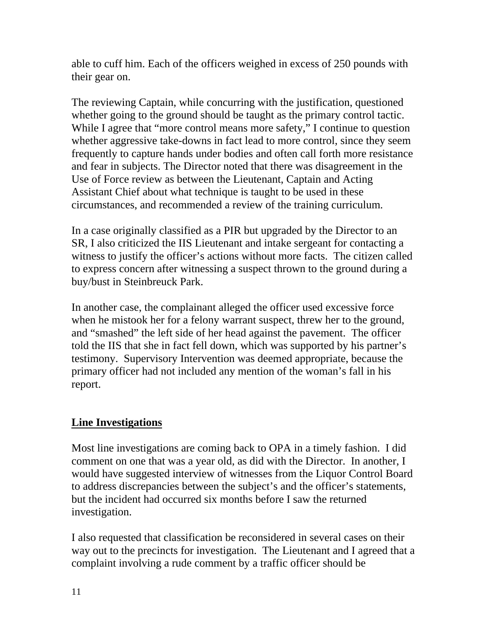able to cuff him. Each of the officers weighed in excess of 250 pounds with their gear on.

The reviewing Captain, while concurring with the justification, questioned whether going to the ground should be taught as the primary control tactic. While I agree that "more control means more safety," I continue to question whether aggressive take-downs in fact lead to more control, since they seem frequently to capture hands under bodies and often call forth more resistance and fear in subjects. The Director noted that there was disagreement in the Use of Force review as between the Lieutenant, Captain and Acting Assistant Chief about what technique is taught to be used in these circumstances, and recommended a review of the training curriculum.

In a case originally classified as a PIR but upgraded by the Director to an SR, I also criticized the IIS Lieutenant and intake sergeant for contacting a witness to justify the officer's actions without more facts. The citizen called to express concern after witnessing a suspect thrown to the ground during a buy/bust in Steinbreuck Park.

In another case, the complainant alleged the officer used excessive force when he mistook her for a felony warrant suspect, threw her to the ground, and "smashed" the left side of her head against the pavement. The officer told the IIS that she in fact fell down, which was supported by his partner's testimony. Supervisory Intervention was deemed appropriate, because the primary officer had not included any mention of the woman's fall in his report.

## **Line Investigations**

Most line investigations are coming back to OPA in a timely fashion. I did comment on one that was a year old, as did with the Director. In another, I would have suggested interview of witnesses from the Liquor Control Board to address discrepancies between the subject's and the officer's statements, but the incident had occurred six months before I saw the returned investigation.

I also requested that classification be reconsidered in several cases on their way out to the precincts for investigation. The Lieutenant and I agreed that a complaint involving a rude comment by a traffic officer should be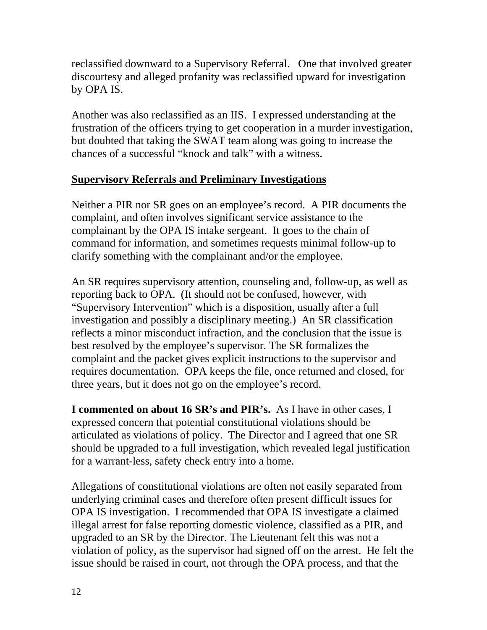reclassified downward to a Supervisory Referral. One that involved greater discourtesy and alleged profanity was reclassified upward for investigation by OPA IS.

Another was also reclassified as an IIS. I expressed understanding at the frustration of the officers trying to get cooperation in a murder investigation, but doubted that taking the SWAT team along was going to increase the chances of a successful "knock and talk" with a witness.

# **Supervisory Referrals and Preliminary Investigations**

Neither a PIR nor SR goes on an employee's record. A PIR documents the complaint, and often involves significant service assistance to the complainant by the OPA IS intake sergeant. It goes to the chain of command for information, and sometimes requests minimal follow-up to clarify something with the complainant and/or the employee.

An SR requires supervisory attention, counseling and, follow-up, as well as reporting back to OPA. (It should not be confused, however, with "Supervisory Intervention" which is a disposition, usually after a full investigation and possibly a disciplinary meeting.) An SR classification reflects a minor misconduct infraction, and the conclusion that the issue is best resolved by the employee's supervisor. The SR formalizes the complaint and the packet gives explicit instructions to the supervisor and requires documentation. OPA keeps the file, once returned and closed, for three years, but it does not go on the employee's record.

**I commented on about 16 SR's and PIR's.** As I have in other cases, I expressed concern that potential constitutional violations should be articulated as violations of policy. The Director and I agreed that one SR should be upgraded to a full investigation, which revealed legal justification for a warrant-less, safety check entry into a home.

Allegations of constitutional violations are often not easily separated from underlying criminal cases and therefore often present difficult issues for OPA IS investigation. I recommended that OPA IS investigate a claimed illegal arrest for false reporting domestic violence, classified as a PIR, and upgraded to an SR by the Director. The Lieutenant felt this was not a violation of policy, as the supervisor had signed off on the arrest. He felt the issue should be raised in court, not through the OPA process, and that the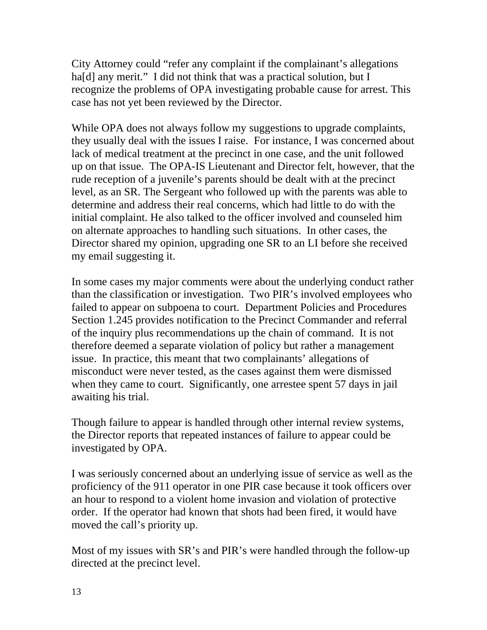City Attorney could "refer any complaint if the complainant's allegations ha[d] any merit." I did not think that was a practical solution, but I recognize the problems of OPA investigating probable cause for arrest. This case has not yet been reviewed by the Director.

While OPA does not always follow my suggestions to upgrade complaints, they usually deal with the issues I raise. For instance, I was concerned about lack of medical treatment at the precinct in one case, and the unit followed up on that issue. The OPA-IS Lieutenant and Director felt, however, that the rude reception of a juvenile's parents should be dealt with at the precinct level, as an SR. The Sergeant who followed up with the parents was able to determine and address their real concerns, which had little to do with the initial complaint. He also talked to the officer involved and counseled him on alternate approaches to handling such situations. In other cases, the Director shared my opinion, upgrading one SR to an LI before she received my email suggesting it.

In some cases my major comments were about the underlying conduct rather than the classification or investigation. Two PIR's involved employees who failed to appear on subpoena to court. Department Policies and Procedures Section 1.245 provides notification to the Precinct Commander and referral of the inquiry plus recommendations up the chain of command. It is not therefore deemed a separate violation of policy but rather a management issue. In practice, this meant that two complainants' allegations of misconduct were never tested, as the cases against them were dismissed when they came to court. Significantly, one arrestee spent 57 days in jail awaiting his trial.

Though failure to appear is handled through other internal review systems, the Director reports that repeated instances of failure to appear could be investigated by OPA.

I was seriously concerned about an underlying issue of service as well as the proficiency of the 911 operator in one PIR case because it took officers over an hour to respond to a violent home invasion and violation of protective order. If the operator had known that shots had been fired, it would have moved the call's priority up.

Most of my issues with SR's and PIR's were handled through the follow-up directed at the precinct level.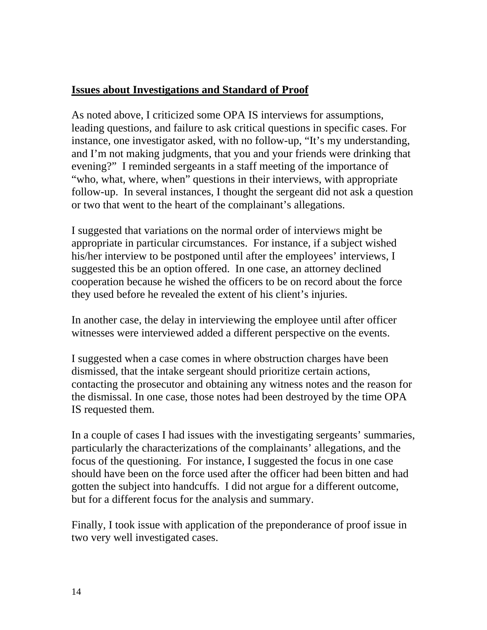# **Issues about Investigations and Standard of Proof**

As noted above, I criticized some OPA IS interviews for assumptions, leading questions, and failure to ask critical questions in specific cases. For instance, one investigator asked, with no follow-up, "It's my understanding, and I'm not making judgments, that you and your friends were drinking that evening?" I reminded sergeants in a staff meeting of the importance of "who, what, where, when" questions in their interviews, with appropriate follow-up. In several instances, I thought the sergeant did not ask a question or two that went to the heart of the complainant's allegations.

I suggested that variations on the normal order of interviews might be appropriate in particular circumstances. For instance, if a subject wished his/her interview to be postponed until after the employees' interviews, I suggested this be an option offered. In one case, an attorney declined cooperation because he wished the officers to be on record about the force they used before he revealed the extent of his client's injuries.

In another case, the delay in interviewing the employee until after officer witnesses were interviewed added a different perspective on the events.

I suggested when a case comes in where obstruction charges have been dismissed, that the intake sergeant should prioritize certain actions, contacting the prosecutor and obtaining any witness notes and the reason for the dismissal. In one case, those notes had been destroyed by the time OPA IS requested them.

In a couple of cases I had issues with the investigating sergeants' summaries, particularly the characterizations of the complainants' allegations, and the focus of the questioning. For instance, I suggested the focus in one case should have been on the force used after the officer had been bitten and had gotten the subject into handcuffs. I did not argue for a different outcome, but for a different focus for the analysis and summary.

Finally, I took issue with application of the preponderance of proof issue in two very well investigated cases.